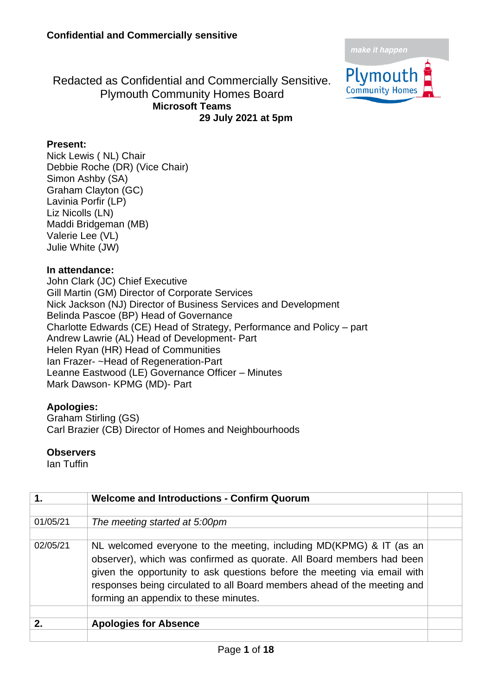

Redacted as Confidential and Commercially Sensitive. Plymouth Community Homes Board **Microsoft Teams 29 July 2021 at 5pm**

## **Present:**

Nick Lewis ( NL) Chair Debbie Roche (DR) (Vice Chair) Simon Ashby (SA) Graham Clayton (GC) Lavinia Porfir (LP) Liz Nicolls (LN) Maddi Bridgeman (MB) Valerie Lee (VL) Julie White (JW)

#### **In attendance:**

John Clark (JC) Chief Executive Gill Martin (GM) Director of Corporate Services Nick Jackson (NJ) Director of Business Services and Development Belinda Pascoe (BP) Head of Governance Charlotte Edwards (CE) Head of Strategy, Performance and Policy – part Andrew Lawrie (AL) Head of Development- Part Helen Ryan (HR) Head of Communities Ian Frazer- ~Head of Regeneration-Part Leanne Eastwood (LE) Governance Officer – Minutes Mark Dawson- KPMG (MD)- Part

### **Apologies:**

Graham Stirling (GS) Carl Brazier (CB) Director of Homes and Neighbourhoods

#### **Observers**

Ian Tuffin

|              | <b>Welcome and Introductions - Confirm Quorum</b>                                                                                                                                                                                                                                                                                             |  |
|--------------|-----------------------------------------------------------------------------------------------------------------------------------------------------------------------------------------------------------------------------------------------------------------------------------------------------------------------------------------------|--|
|              |                                                                                                                                                                                                                                                                                                                                               |  |
| 01/05/21     | The meeting started at 5:00pm                                                                                                                                                                                                                                                                                                                 |  |
|              |                                                                                                                                                                                                                                                                                                                                               |  |
| 02/05/21     | NL welcomed everyone to the meeting, including MD(KPMG) & IT (as an<br>observer), which was confirmed as quorate. All Board members had been<br>given the opportunity to ask questions before the meeting via email with<br>responses being circulated to all Board members ahead of the meeting and<br>forming an appendix to these minutes. |  |
|              |                                                                                                                                                                                                                                                                                                                                               |  |
| $\mathbf{p}$ | <b>Apologies for Absence</b>                                                                                                                                                                                                                                                                                                                  |  |
|              |                                                                                                                                                                                                                                                                                                                                               |  |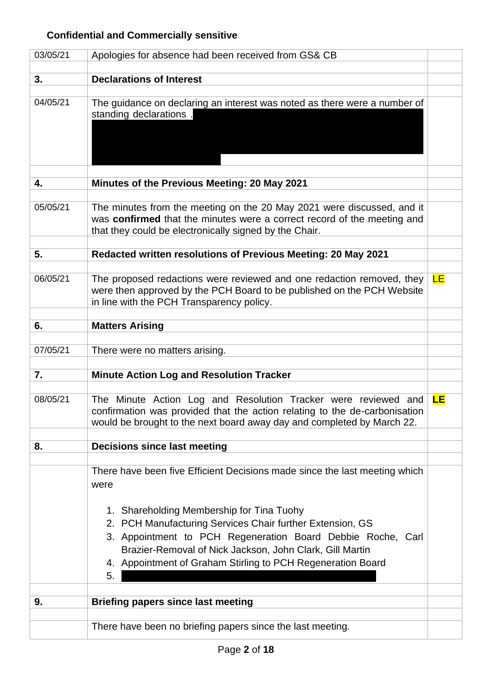# **Confidential and Commercially sensitive**

| 03/05/21 | Apologies for absence had been received from GS& CB                                                                                                                                                                                                                                                    |           |
|----------|--------------------------------------------------------------------------------------------------------------------------------------------------------------------------------------------------------------------------------------------------------------------------------------------------------|-----------|
| 3.       | <b>Declarations of Interest</b>                                                                                                                                                                                                                                                                        |           |
|          |                                                                                                                                                                                                                                                                                                        |           |
| 04/05/21 | The guidance on declaring an interest was noted as there were a number of<br>standing declarations.                                                                                                                                                                                                    |           |
| 4.       | Minutes of the Previous Meeting: 20 May 2021                                                                                                                                                                                                                                                           |           |
|          |                                                                                                                                                                                                                                                                                                        |           |
| 05/05/21 | The minutes from the meeting on the 20 May 2021 were discussed, and it<br>was confirmed that the minutes were a correct record of the meeting and<br>that they could be electronically signed by the Chair.                                                                                            |           |
| 5.       | Redacted written resolutions of Previous Meeting: 20 May 2021                                                                                                                                                                                                                                          |           |
|          |                                                                                                                                                                                                                                                                                                        |           |
| 06/05/21 | The proposed redactions were reviewed and one redaction removed, they<br>were then approved by the PCH Board to be published on the PCH Website<br>in line with the PCH Transparency policy.                                                                                                           | <b>LE</b> |
| 6.       | <b>Matters Arising</b>                                                                                                                                                                                                                                                                                 |           |
|          |                                                                                                                                                                                                                                                                                                        |           |
| 07/05/21 | There were no matters arising.                                                                                                                                                                                                                                                                         |           |
| 7.       | <b>Minute Action Log and Resolution Tracker</b>                                                                                                                                                                                                                                                        |           |
|          |                                                                                                                                                                                                                                                                                                        |           |
| 08/05/21 | The Minute Action Log and Resolution Tracker were reviewed and<br>confirmation was provided that the action relating to the de-carbonisation<br>would be brought to the next board away day and completed by March 22.                                                                                 | <b>LE</b> |
|          |                                                                                                                                                                                                                                                                                                        |           |
| 8.       | <b>Decisions since last meeting</b>                                                                                                                                                                                                                                                                    |           |
|          | There have been five Efficient Decisions made since the last meeting which<br>were                                                                                                                                                                                                                     |           |
|          | 1. Shareholding Membership for Tina Tuohy<br>2. PCH Manufacturing Services Chair further Extension, GS<br>3. Appointment to PCH Regeneration Board Debbie Roche, Carl<br>Brazier-Removal of Nick Jackson, John Clark, Gill Martin<br>4. Appointment of Graham Stirling to PCH Regeneration Board<br>5. |           |
| 9.       |                                                                                                                                                                                                                                                                                                        |           |
|          | <b>Briefing papers since last meeting</b>                                                                                                                                                                                                                                                              |           |
|          | There have been no briefing papers since the last meeting.                                                                                                                                                                                                                                             |           |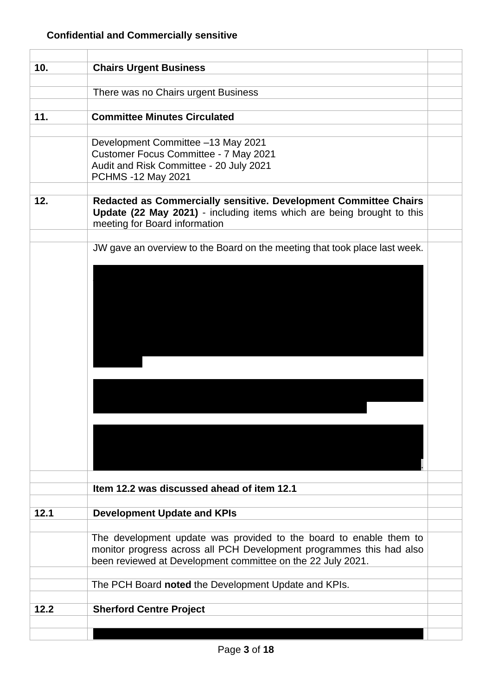| 10.  | <b>Chairs Urgent Business</b>                                                                                                                                               |  |
|------|-----------------------------------------------------------------------------------------------------------------------------------------------------------------------------|--|
|      |                                                                                                                                                                             |  |
|      | There was no Chairs urgent Business                                                                                                                                         |  |
| 11.  | <b>Committee Minutes Circulated</b>                                                                                                                                         |  |
|      |                                                                                                                                                                             |  |
|      | Development Committee -13 May 2021                                                                                                                                          |  |
|      | Customer Focus Committee - 7 May 2021                                                                                                                                       |  |
|      | Audit and Risk Committee - 20 July 2021                                                                                                                                     |  |
|      | PCHMS -12 May 2021                                                                                                                                                          |  |
|      |                                                                                                                                                                             |  |
| 12.  | Redacted as Commercially sensitive. Development Committee Chairs<br>Update (22 May 2021) - including items which are being brought to this<br>meeting for Board information |  |
|      |                                                                                                                                                                             |  |
|      | JW gave an overview to the Board on the meeting that took place last week.                                                                                                  |  |
|      |                                                                                                                                                                             |  |
|      |                                                                                                                                                                             |  |
|      |                                                                                                                                                                             |  |
|      |                                                                                                                                                                             |  |
|      |                                                                                                                                                                             |  |
|      |                                                                                                                                                                             |  |
|      |                                                                                                                                                                             |  |
|      |                                                                                                                                                                             |  |
|      |                                                                                                                                                                             |  |
|      |                                                                                                                                                                             |  |
|      |                                                                                                                                                                             |  |
|      |                                                                                                                                                                             |  |
|      |                                                                                                                                                                             |  |
|      |                                                                                                                                                                             |  |
|      |                                                                                                                                                                             |  |
|      |                                                                                                                                                                             |  |
|      |                                                                                                                                                                             |  |
|      | Item 12.2 was discussed ahead of item 12.1                                                                                                                                  |  |
|      |                                                                                                                                                                             |  |
| 12.1 | <b>Development Update and KPIs</b>                                                                                                                                          |  |
|      |                                                                                                                                                                             |  |
|      | The development update was provided to the board to enable them to                                                                                                          |  |
|      | monitor progress across all PCH Development programmes this had also                                                                                                        |  |
|      | been reviewed at Development committee on the 22 July 2021.                                                                                                                 |  |
|      | The PCH Board noted the Development Update and KPIs.                                                                                                                        |  |
|      |                                                                                                                                                                             |  |
| 12.2 | <b>Sherford Centre Project</b>                                                                                                                                              |  |
|      |                                                                                                                                                                             |  |
|      |                                                                                                                                                                             |  |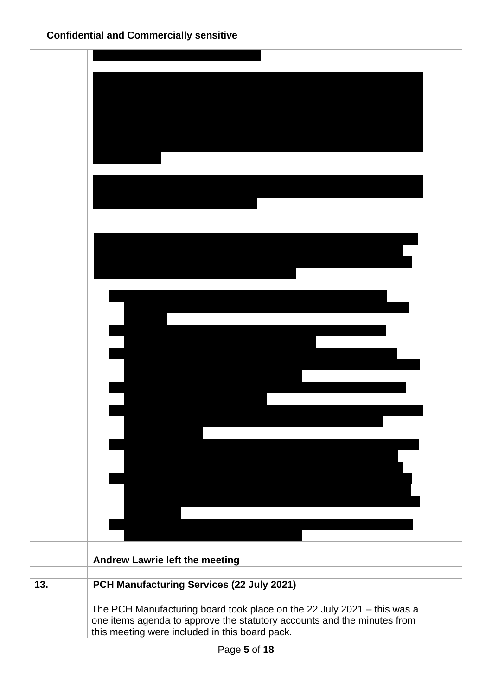|     | Andrew Lawrie left the meeting                                          |  |
|-----|-------------------------------------------------------------------------|--|
| 13. | PCH Manufacturing Services (22 July 2021)                               |  |
|     |                                                                         |  |
|     | The PCH Manufacturing board took place on the 22 July 2021 - this was a |  |
|     | one items agenda to approve the statutory accounts and the minutes from |  |
|     | this meeting were included in this board pack.                          |  |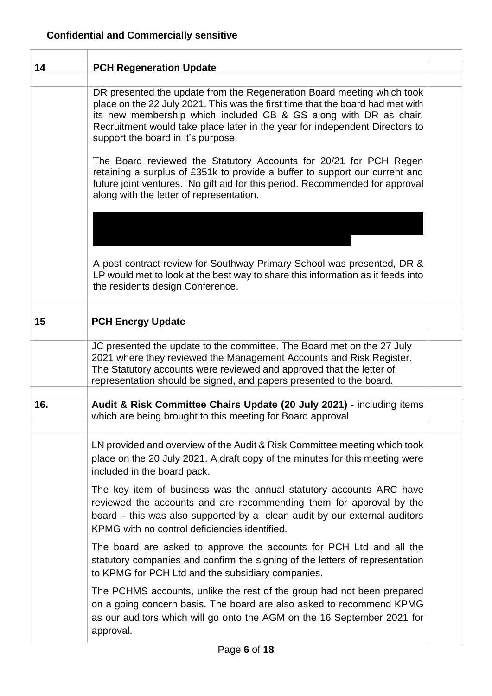| 14  | <b>PCH Regeneration Update</b>                                                                                                                                                                                                                                                                                                                     |  |
|-----|----------------------------------------------------------------------------------------------------------------------------------------------------------------------------------------------------------------------------------------------------------------------------------------------------------------------------------------------------|--|
|     | DR presented the update from the Regeneration Board meeting which took<br>place on the 22 July 2021. This was the first time that the board had met with<br>its new membership which included CB & GS along with DR as chair.<br>Recruitment would take place later in the year for independent Directors to<br>support the board in it's purpose. |  |
|     | The Board reviewed the Statutory Accounts for 20/21 for PCH Regen<br>retaining a surplus of £351k to provide a buffer to support our current and<br>future joint ventures. No gift aid for this period. Recommended for approval<br>along with the letter of representation.                                                                       |  |
|     | A post contract review for Southway Primary School was presented, DR &<br>LP would met to look at the best way to share this information as it feeds into<br>the residents design Conference.                                                                                                                                                      |  |
|     |                                                                                                                                                                                                                                                                                                                                                    |  |
| 15  | <b>PCH Energy Update</b>                                                                                                                                                                                                                                                                                                                           |  |
|     | JC presented the update to the committee. The Board met on the 27 July<br>2021 where they reviewed the Management Accounts and Risk Register.<br>The Statutory accounts were reviewed and approved that the letter of<br>representation should be signed, and papers presented to the board.                                                       |  |
|     |                                                                                                                                                                                                                                                                                                                                                    |  |
| 16. | Audit & Risk Committee Chairs Update (20 July 2021) - including items<br>which are being brought to this meeting for Board approval                                                                                                                                                                                                                |  |
|     | LN provided and overview of the Audit & Risk Committee meeting which took<br>place on the 20 July 2021. A draft copy of the minutes for this meeting were<br>included in the board pack.                                                                                                                                                           |  |
|     | The key item of business was the annual statutory accounts ARC have<br>reviewed the accounts and are recommending them for approval by the<br>board - this was also supported by a clean audit by our external auditors<br>KPMG with no control deficiencies identified.                                                                           |  |
|     | The board are asked to approve the accounts for PCH Ltd and all the<br>statutory companies and confirm the signing of the letters of representation<br>to KPMG for PCH Ltd and the subsidiary companies.                                                                                                                                           |  |
|     | The PCHMS accounts, unlike the rest of the group had not been prepared<br>on a going concern basis. The board are also asked to recommend KPMG<br>as our auditors which will go onto the AGM on the 16 September 2021 for<br>approval.                                                                                                             |  |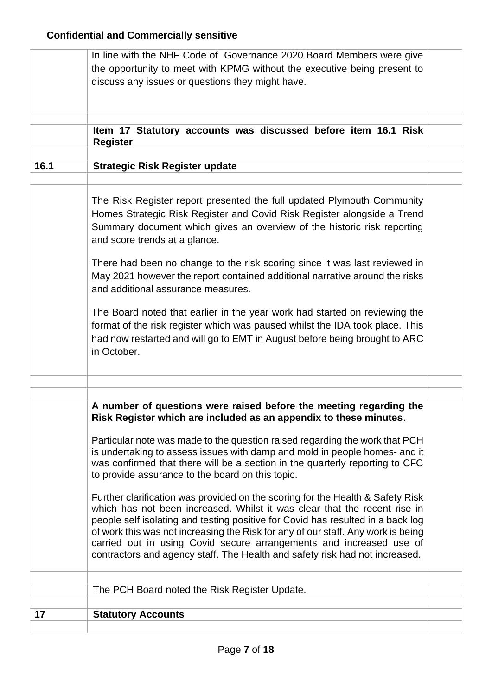|      | In line with the NHF Code of Governance 2020 Board Members were give<br>the opportunity to meet with KPMG without the executive being present to<br>discuss any issues or questions they might have.                                                                                                                                                                                                                                                                                                                                                                                                                                                                                                                                                                           |  |
|------|--------------------------------------------------------------------------------------------------------------------------------------------------------------------------------------------------------------------------------------------------------------------------------------------------------------------------------------------------------------------------------------------------------------------------------------------------------------------------------------------------------------------------------------------------------------------------------------------------------------------------------------------------------------------------------------------------------------------------------------------------------------------------------|--|
|      | Item 17 Statutory accounts was discussed before item 16.1 Risk<br><b>Register</b>                                                                                                                                                                                                                                                                                                                                                                                                                                                                                                                                                                                                                                                                                              |  |
| 16.1 | <b>Strategic Risk Register update</b>                                                                                                                                                                                                                                                                                                                                                                                                                                                                                                                                                                                                                                                                                                                                          |  |
|      | The Risk Register report presented the full updated Plymouth Community<br>Homes Strategic Risk Register and Covid Risk Register alongside a Trend<br>Summary document which gives an overview of the historic risk reporting<br>and score trends at a glance.<br>There had been no change to the risk scoring since it was last reviewed in<br>May 2021 however the report contained additional narrative around the risks<br>and additional assurance measures.<br>The Board noted that earlier in the year work had started on reviewing the<br>format of the risk register which was paused whilst the IDA took place. This<br>had now restarted and will go to EMT in August before being brought to ARC<br>in October.                                                    |  |
|      |                                                                                                                                                                                                                                                                                                                                                                                                                                                                                                                                                                                                                                                                                                                                                                                |  |
|      | A number of questions were raised before the meeting regarding the<br>Risk Register which are included as an appendix to these minutes.<br>Particular note was made to the question raised regarding the work that PCH<br>is undertaking to assess issues with damp and mold in people homes- and it<br>was confirmed that there will be a section in the quarterly reporting to CFC<br>to provide assurance to the board on this topic.<br>Further clarification was provided on the scoring for the Health & Safety Risk<br>which has not been increased. Whilst it was clear that the recent rise in<br>people self isolating and testing positive for Covid has resulted in a back log<br>of work this was not increasing the Risk for any of our staff. Any work is being |  |
|      | carried out in using Covid secure arrangements and increased use of<br>contractors and agency staff. The Health and safety risk had not increased.<br>The PCH Board noted the Risk Register Update.                                                                                                                                                                                                                                                                                                                                                                                                                                                                                                                                                                            |  |
| 17   | <b>Statutory Accounts</b>                                                                                                                                                                                                                                                                                                                                                                                                                                                                                                                                                                                                                                                                                                                                                      |  |
|      |                                                                                                                                                                                                                                                                                                                                                                                                                                                                                                                                                                                                                                                                                                                                                                                |  |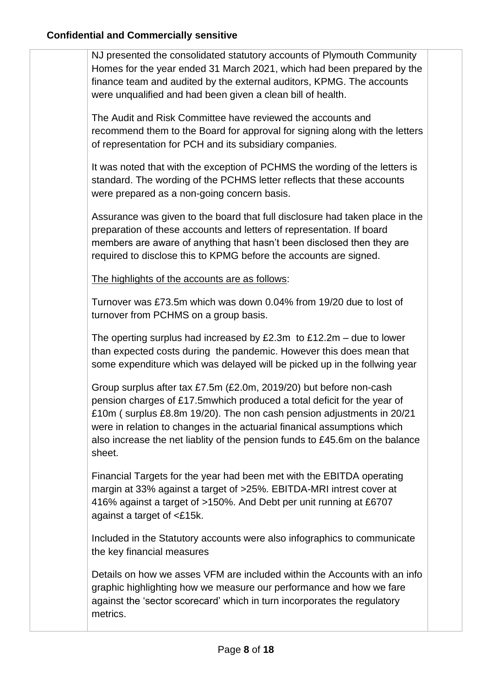NJ presented the consolidated statutory accounts of Plymouth Community Homes for the year ended 31 March 2021, which had been prepared by the finance team and audited by the external auditors, KPMG. The accounts were unqualified and had been given a clean bill of health.

The Audit and Risk Committee have reviewed the accounts and recommend them to the Board for approval for signing along with the letters of representation for PCH and its subsidiary companies.

It was noted that with the exception of PCHMS the wording of the letters is standard. The wording of the PCHMS letter reflects that these accounts were prepared as a non-going concern basis.

Assurance was given to the board that full disclosure had taken place in the preparation of these accounts and letters of representation. If board members are aware of anything that hasn't been disclosed then they are required to disclose this to KPMG before the accounts are signed.

The highlights of the accounts are as follows:

Turnover was £73.5m which was down 0.04% from 19/20 due to lost of turnover from PCHMS on a group basis.

The operting surplus had increased by  $£2.3m$  to  $£12.2m -$  due to lower than expected costs during the pandemic. However this does mean that some expenditure which was delayed will be picked up in the follwing year

Group surplus after tax £7.5m (£2.0m, 2019/20) but before non-cash pension charges of £17.5mwhich produced a total deficit for the year of £10m ( surplus £8.8m 19/20). The non cash pension adjustments in 20/21 were in relation to changes in the actuarial finanical assumptions which also increase the net liablity of the pension funds to £45.6m on the balance sheet.

Financial Targets for the year had been met with the EBITDA operating margin at 33% against a target of >25%. EBITDA-MRI intrest cover at 416% against a target of >150%. And Debt per unit running at £6707 against a target of <£15k.

Included in the Statutory accounts were also infographics to communicate the key financial measures

Details on how we asses VFM are included within the Accounts with an info graphic highlighting how we measure our performance and how we fare against the 'sector scorecard' which in turn incorporates the regulatory metrics.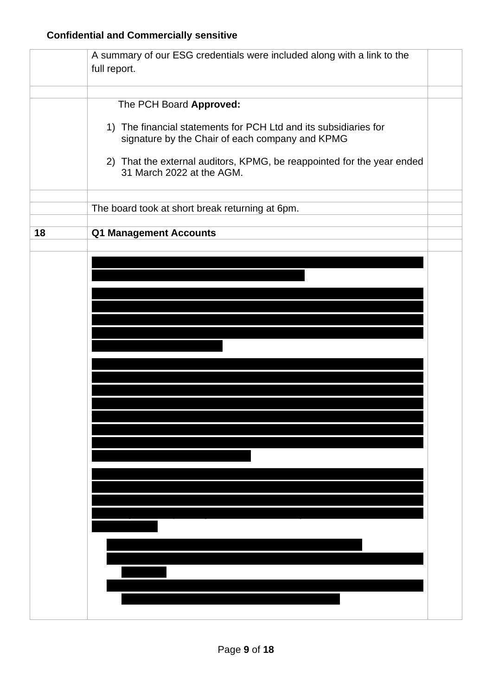|    | A summary of our ESG credentials were included along with a link to the<br>full report.                             |  |
|----|---------------------------------------------------------------------------------------------------------------------|--|
|    |                                                                                                                     |  |
|    | The PCH Board Approved:                                                                                             |  |
|    | 1) The financial statements for PCH Ltd and its subsidiaries for<br>signature by the Chair of each company and KPMG |  |
|    | 2) That the external auditors, KPMG, be reappointed for the year ended<br>31 March 2022 at the AGM.                 |  |
|    | The board took at short break returning at 6pm.                                                                     |  |
| 18 | <b>Q1 Management Accounts</b>                                                                                       |  |
|    |                                                                                                                     |  |
|    |                                                                                                                     |  |
|    |                                                                                                                     |  |
|    |                                                                                                                     |  |
|    |                                                                                                                     |  |
|    |                                                                                                                     |  |
|    |                                                                                                                     |  |
|    |                                                                                                                     |  |
|    |                                                                                                                     |  |
|    |                                                                                                                     |  |
|    |                                                                                                                     |  |
|    |                                                                                                                     |  |
|    |                                                                                                                     |  |
|    |                                                                                                                     |  |
|    |                                                                                                                     |  |
|    |                                                                                                                     |  |
|    |                                                                                                                     |  |
|    |                                                                                                                     |  |
|    |                                                                                                                     |  |
|    |                                                                                                                     |  |
|    |                                                                                                                     |  |
|    |                                                                                                                     |  |
|    |                                                                                                                     |  |
|    |                                                                                                                     |  |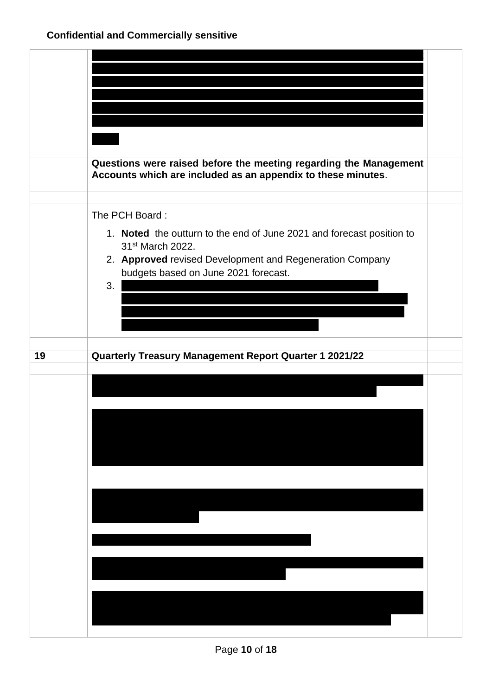|    | Questions were raised before the meeting regarding the Management<br>Accounts which are included as an appendix to these minutes.                                                                                                 |  |
|----|-----------------------------------------------------------------------------------------------------------------------------------------------------------------------------------------------------------------------------------|--|
|    | The PCH Board:<br>1. Noted the outturn to the end of June 2021 and forecast position to<br>31 <sup>st</sup> March 2022.<br>2. Approved revised Development and Regeneration Company<br>budgets based on June 2021 forecast.<br>3. |  |
| 19 | <b>Quarterly Treasury Management Report Quarter 1 2021/22</b>                                                                                                                                                                     |  |
|    |                                                                                                                                                                                                                                   |  |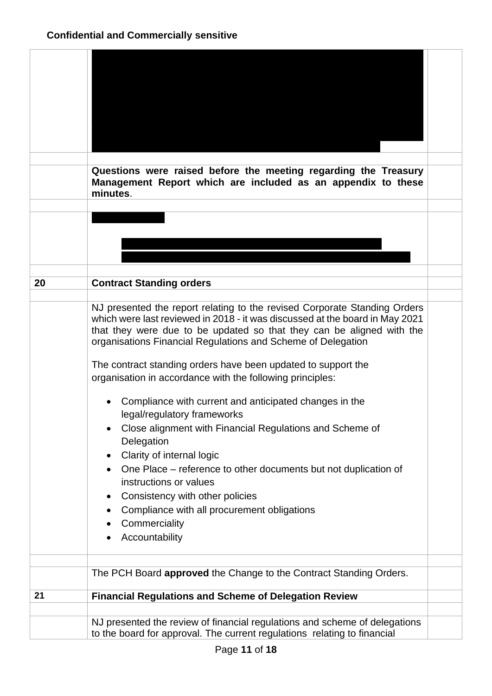|    | Questions were raised before the meeting regarding the Treasury<br>Management Report which are included as an appendix to these<br>minutes.                                                                                                                                                        |  |
|----|----------------------------------------------------------------------------------------------------------------------------------------------------------------------------------------------------------------------------------------------------------------------------------------------------|--|
|    |                                                                                                                                                                                                                                                                                                    |  |
|    |                                                                                                                                                                                                                                                                                                    |  |
|    |                                                                                                                                                                                                                                                                                                    |  |
|    |                                                                                                                                                                                                                                                                                                    |  |
|    |                                                                                                                                                                                                                                                                                                    |  |
| 20 | <b>Contract Standing orders</b>                                                                                                                                                                                                                                                                    |  |
|    |                                                                                                                                                                                                                                                                                                    |  |
|    | NJ presented the report relating to the revised Corporate Standing Orders<br>which were last reviewed in 2018 - it was discussed at the board in May 2021<br>that they were due to be updated so that they can be aligned with the<br>organisations Financial Regulations and Scheme of Delegation |  |
|    | The contract standing orders have been updated to support the<br>organisation in accordance with the following principles:                                                                                                                                                                         |  |
|    |                                                                                                                                                                                                                                                                                                    |  |
|    | Compliance with current and anticipated changes in the<br>legal/regulatory frameworks                                                                                                                                                                                                              |  |
|    | Close alignment with Financial Regulations and Scheme of<br>Delegation                                                                                                                                                                                                                             |  |
|    | Clarity of internal logic                                                                                                                                                                                                                                                                          |  |
|    | One Place – reference to other documents but not duplication of<br>instructions or values                                                                                                                                                                                                          |  |
|    | Consistency with other policies<br>$\bullet$                                                                                                                                                                                                                                                       |  |
|    | Compliance with all procurement obligations                                                                                                                                                                                                                                                        |  |
|    | Commerciality                                                                                                                                                                                                                                                                                      |  |
|    | Accountability                                                                                                                                                                                                                                                                                     |  |
|    | The PCH Board approved the Change to the Contract Standing Orders.                                                                                                                                                                                                                                 |  |
|    |                                                                                                                                                                                                                                                                                                    |  |
| 21 | <b>Financial Regulations and Scheme of Delegation Review</b>                                                                                                                                                                                                                                       |  |
|    |                                                                                                                                                                                                                                                                                                    |  |
|    | NJ presented the review of financial regulations and scheme of delegations<br>to the board for approval. The current regulations relating to financial                                                                                                                                             |  |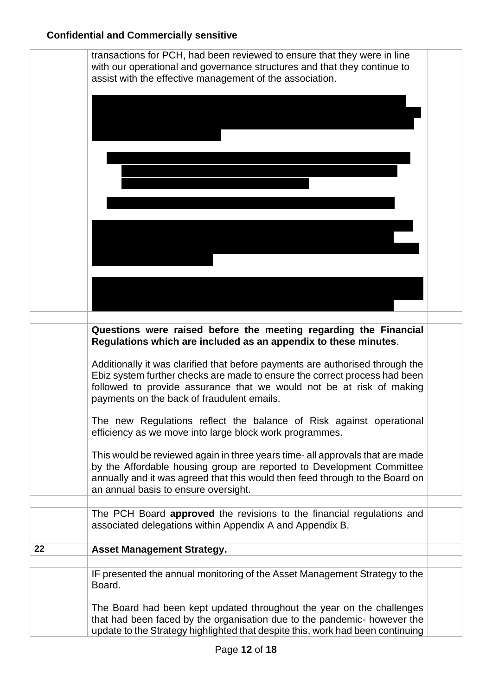#### **Confidential and Commercially sensitive**

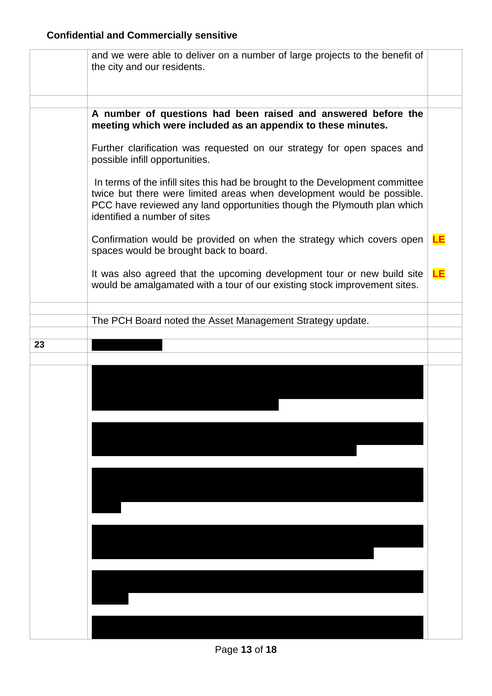|    | and we were able to deliver on a number of large projects to the benefit of<br>the city and our residents.                                                                                                                                                         |    |
|----|--------------------------------------------------------------------------------------------------------------------------------------------------------------------------------------------------------------------------------------------------------------------|----|
|    |                                                                                                                                                                                                                                                                    |    |
|    | A number of questions had been raised and answered before the<br>meeting which were included as an appendix to these minutes.                                                                                                                                      |    |
|    | Further clarification was requested on our strategy for open spaces and<br>possible infill opportunities.                                                                                                                                                          |    |
|    | In terms of the infill sites this had be brought to the Development committee<br>twice but there were limited areas when development would be possible.<br>PCC have reviewed any land opportunities though the Plymouth plan which<br>identified a number of sites |    |
|    | Confirmation would be provided on when the strategy which covers open<br>spaces would be brought back to board.                                                                                                                                                    | LЕ |
|    | It was also agreed that the upcoming development tour or new build site<br>would be amalgamated with a tour of our existing stock improvement sites.                                                                                                               | LE |
|    |                                                                                                                                                                                                                                                                    |    |
|    | The PCH Board noted the Asset Management Strategy update.                                                                                                                                                                                                          |    |
| 23 |                                                                                                                                                                                                                                                                    |    |
|    |                                                                                                                                                                                                                                                                    |    |
|    |                                                                                                                                                                                                                                                                    |    |
|    |                                                                                                                                                                                                                                                                    |    |
|    |                                                                                                                                                                                                                                                                    |    |
|    |                                                                                                                                                                                                                                                                    |    |
|    |                                                                                                                                                                                                                                                                    |    |
|    |                                                                                                                                                                                                                                                                    |    |
|    |                                                                                                                                                                                                                                                                    |    |
|    |                                                                                                                                                                                                                                                                    |    |
|    |                                                                                                                                                                                                                                                                    |    |
|    |                                                                                                                                                                                                                                                                    |    |
|    |                                                                                                                                                                                                                                                                    |    |
|    |                                                                                                                                                                                                                                                                    |    |
|    |                                                                                                                                                                                                                                                                    |    |
|    |                                                                                                                                                                                                                                                                    |    |
|    |                                                                                                                                                                                                                                                                    |    |
|    |                                                                                                                                                                                                                                                                    |    |

Page **13** of **18**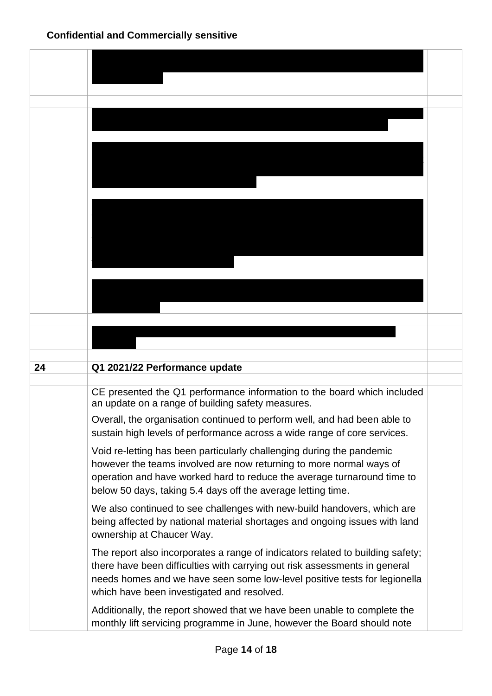| 24 | Q1 2021/22 Performance update                                                                                                                                |  |
|----|--------------------------------------------------------------------------------------------------------------------------------------------------------------|--|
|    |                                                                                                                                                              |  |
|    | CE presented the Q1 performance information to the board which included<br>an update on a range of building safety measures.                                 |  |
|    | Overall, the organisation continued to perform well, and had been able to<br>sustain high levels of performance across a wide range of core services.        |  |
|    | Void re-letting has been particularly challenging during the pandemic                                                                                        |  |
|    | however the teams involved are now returning to more normal ways of<br>operation and have worked hard to reduce the average turnaround time to               |  |
|    | below 50 days, taking 5.4 days off the average letting time.                                                                                                 |  |
|    | We also continued to see challenges with new-build handovers, which are                                                                                      |  |
|    | being affected by national material shortages and ongoing issues with land                                                                                   |  |
|    | ownership at Chaucer Way.                                                                                                                                    |  |
|    | The report also incorporates a range of indicators related to building safety;<br>there have been difficulties with carrying out risk assessments in general |  |
|    | needs homes and we have seen some low-level positive tests for legionella                                                                                    |  |
|    | which have been investigated and resolved.                                                                                                                   |  |
|    | Additionally, the report showed that we have been unable to complete the<br>monthly lift servicing programme in June, however the Board should note          |  |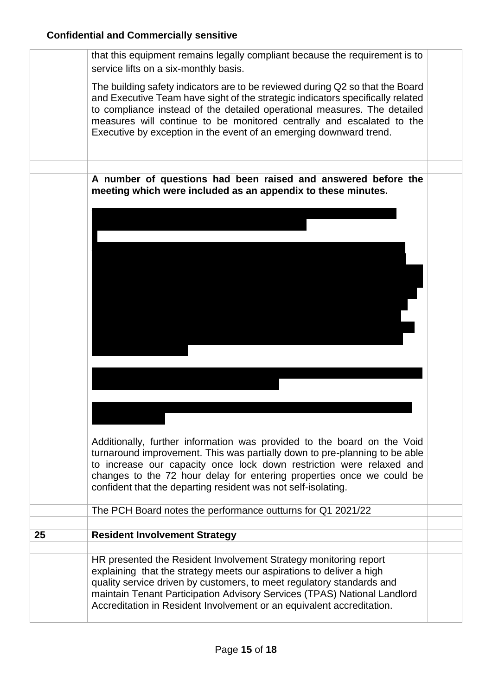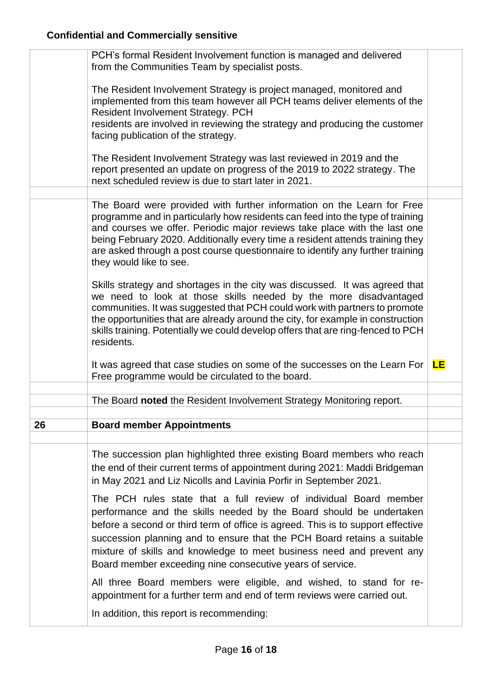|    | PCH's formal Resident Involvement function is managed and delivered<br>from the Communities Team by specialist posts.                                                                                                                                                                                                                                                                                                                        |    |
|----|----------------------------------------------------------------------------------------------------------------------------------------------------------------------------------------------------------------------------------------------------------------------------------------------------------------------------------------------------------------------------------------------------------------------------------------------|----|
|    | The Resident Involvement Strategy is project managed, monitored and<br>implemented from this team however all PCH teams deliver elements of the<br><b>Resident Involvement Strategy. PCH</b><br>residents are involved in reviewing the strategy and producing the customer<br>facing publication of the strategy.                                                                                                                           |    |
|    | The Resident Involvement Strategy was last reviewed in 2019 and the<br>report presented an update on progress of the 2019 to 2022 strategy. The<br>next scheduled review is due to start later in 2021.                                                                                                                                                                                                                                      |    |
|    |                                                                                                                                                                                                                                                                                                                                                                                                                                              |    |
|    | The Board were provided with further information on the Learn for Free<br>programme and in particularly how residents can feed into the type of training<br>and courses we offer. Periodic major reviews take place with the last one<br>being February 2020. Additionally every time a resident attends training they<br>are asked through a post course questionnaire to identify any further training<br>they would like to see.          |    |
|    | Skills strategy and shortages in the city was discussed. It was agreed that<br>we need to look at those skills needed by the more disadvantaged<br>communities. It was suggested that PCH could work with partners to promote<br>the opportunities that are already around the city, for example in construction<br>skills training. Potentially we could develop offers that are ring-fenced to PCH<br>residents.                           |    |
|    | It was agreed that case studies on some of the successes on the Learn For<br>Free programme would be circulated to the board.                                                                                                                                                                                                                                                                                                                | LE |
|    | The Board noted the Resident Involvement Strategy Monitoring report.                                                                                                                                                                                                                                                                                                                                                                         |    |
|    |                                                                                                                                                                                                                                                                                                                                                                                                                                              |    |
| 26 | <b>Board member Appointments</b>                                                                                                                                                                                                                                                                                                                                                                                                             |    |
|    |                                                                                                                                                                                                                                                                                                                                                                                                                                              |    |
|    | The succession plan highlighted three existing Board members who reach<br>the end of their current terms of appointment during 2021: Maddi Bridgeman<br>in May 2021 and Liz Nicolls and Lavinia Porfir in September 2021.                                                                                                                                                                                                                    |    |
|    | The PCH rules state that a full review of individual Board member<br>performance and the skills needed by the Board should be undertaken<br>before a second or third term of office is agreed. This is to support effective<br>succession planning and to ensure that the PCH Board retains a suitable<br>mixture of skills and knowledge to meet business need and prevent any<br>Board member exceeding nine consecutive years of service. |    |
|    | All three Board members were eligible, and wished, to stand for re-<br>appointment for a further term and end of term reviews were carried out.                                                                                                                                                                                                                                                                                              |    |
|    | In addition, this report is recommending:                                                                                                                                                                                                                                                                                                                                                                                                    |    |
|    |                                                                                                                                                                                                                                                                                                                                                                                                                                              |    |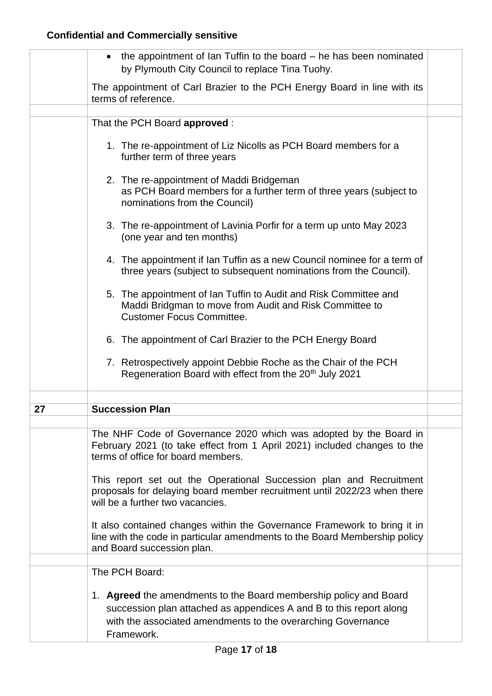|    | the appointment of Ian Tuffin to the board $-$ he has been nominated<br>by Plymouth City Council to replace Tina Tuohy.                                                                                                |  |
|----|------------------------------------------------------------------------------------------------------------------------------------------------------------------------------------------------------------------------|--|
|    | The appointment of Carl Brazier to the PCH Energy Board in line with its<br>terms of reference.                                                                                                                        |  |
|    |                                                                                                                                                                                                                        |  |
|    | That the PCH Board approved :                                                                                                                                                                                          |  |
|    | 1. The re-appointment of Liz Nicolls as PCH Board members for a<br>further term of three years                                                                                                                         |  |
|    | 2. The re-appointment of Maddi Bridgeman<br>as PCH Board members for a further term of three years (subject to<br>nominations from the Council)                                                                        |  |
|    | 3. The re-appointment of Lavinia Porfir for a term up unto May 2023<br>(one year and ten months)                                                                                                                       |  |
|    | 4. The appointment if Ian Tuffin as a new Council nominee for a term of<br>three years (subject to subsequent nominations from the Council).                                                                           |  |
|    | 5. The appointment of Ian Tuffin to Audit and Risk Committee and<br>Maddi Bridgman to move from Audit and Risk Committee to<br><b>Customer Focus Committee.</b>                                                        |  |
|    | 6. The appointment of Carl Brazier to the PCH Energy Board                                                                                                                                                             |  |
|    | 7. Retrospectively appoint Debbie Roche as the Chair of the PCH<br>Regeneration Board with effect from the 20 <sup>th</sup> July 2021                                                                                  |  |
|    |                                                                                                                                                                                                                        |  |
| 27 | <b>Succession Plan</b>                                                                                                                                                                                                 |  |
|    | The NHF Code of Governance 2020 which was adopted by the Board in<br>February 2021 (to take effect from 1 April 2021) included changes to the<br>terms of office for board members.                                    |  |
|    | This report set out the Operational Succession plan and Recruitment<br>proposals for delaying board member recruitment until 2022/23 when there<br>will be a further two vacancies.                                    |  |
|    | It also contained changes within the Governance Framework to bring it in<br>line with the code in particular amendments to the Board Membership policy<br>and Board succession plan.                                   |  |
|    |                                                                                                                                                                                                                        |  |
|    | The PCH Board:                                                                                                                                                                                                         |  |
|    | 1. Agreed the amendments to the Board membership policy and Board<br>succession plan attached as appendices A and B to this report along<br>with the associated amendments to the overarching Governance<br>Framework. |  |